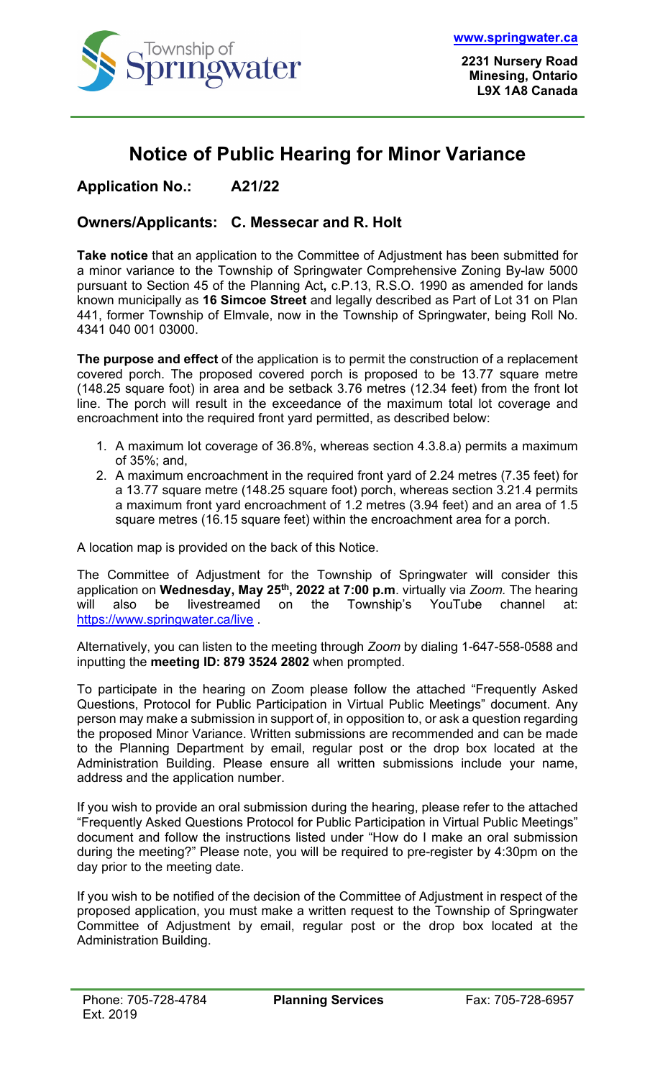

## **Notice of Public Hearing for Minor Variance**

**Application No.: A21/22**

## **Owners/Applicants: C. Messecar and R. Holt**

**Take notice** that an application to the Committee of Adjustment has been submitted for a minor variance to the Township of Springwater Comprehensive Zoning By-law 5000 pursuant to Section 45 of the Planning Act**,** c.P.13, R.S.O. 1990 as amended for lands known municipally as **16 Simcoe Street** and legally described as Part of Lot 31 on Plan 441, former Township of Elmvale, now in the Township of Springwater, being Roll No. 4341 040 001 03000.

**The purpose and effect** of the application is to permit the construction of a replacement covered porch. The proposed covered porch is proposed to be 13.77 square metre (148.25 square foot) in area and be setback 3.76 metres (12.34 feet) from the front lot line. The porch will result in the exceedance of the maximum total lot coverage and encroachment into the required front yard permitted, as described below:

- 1. A maximum lot coverage of 36.8%, whereas section 4.3.8.a) permits a maximum of 35%; and,
- 2. A maximum encroachment in the required front yard of 2.24 metres (7.35 feet) for a 13.77 square metre (148.25 square foot) porch, whereas section 3.21.4 permits a maximum front yard encroachment of 1.2 metres (3.94 feet) and an area of 1.5 square metres (16.15 square feet) within the encroachment area for a porch.

A location map is provided on the back of this Notice.

The Committee of Adjustment for the Township of Springwater will consider this application on **Wednesday, May 25th, 2022 at 7:00 p.m**. virtually via *Zoom.* The hearing will also be livestreamed on the Township's YouTube channel at: <https://www.springwater.ca/live> .

Alternatively, you can listen to the meeting through *Zoom* by dialing 1-647-558-0588 and inputting the **meeting ID: 879 3524 2802** when prompted.

To participate in the hearing on Zoom please follow the attached "Frequently Asked Questions, Protocol for Public Participation in Virtual Public Meetings" document. Any person may make a submission in support of, in opposition to, or ask a question regarding the proposed Minor Variance. Written submissions are recommended and can be made to the Planning Department by email, regular post or the drop box located at the Administration Building. Please ensure all written submissions include your name, address and the application number.

If you wish to provide an oral submission during the hearing, please refer to the attached "Frequently Asked Questions Protocol for Public Participation in Virtual Public Meetings" document and follow the instructions listed under "How do I make an oral submission during the meeting?" Please note, you will be required to pre-register by 4:30pm on the day prior to the meeting date.

If you wish to be notified of the decision of the Committee of Adjustment in respect of the proposed application, you must make a written request to the Township of Springwater Committee of Adjustment by email, regular post or the drop box located at the Administration Building.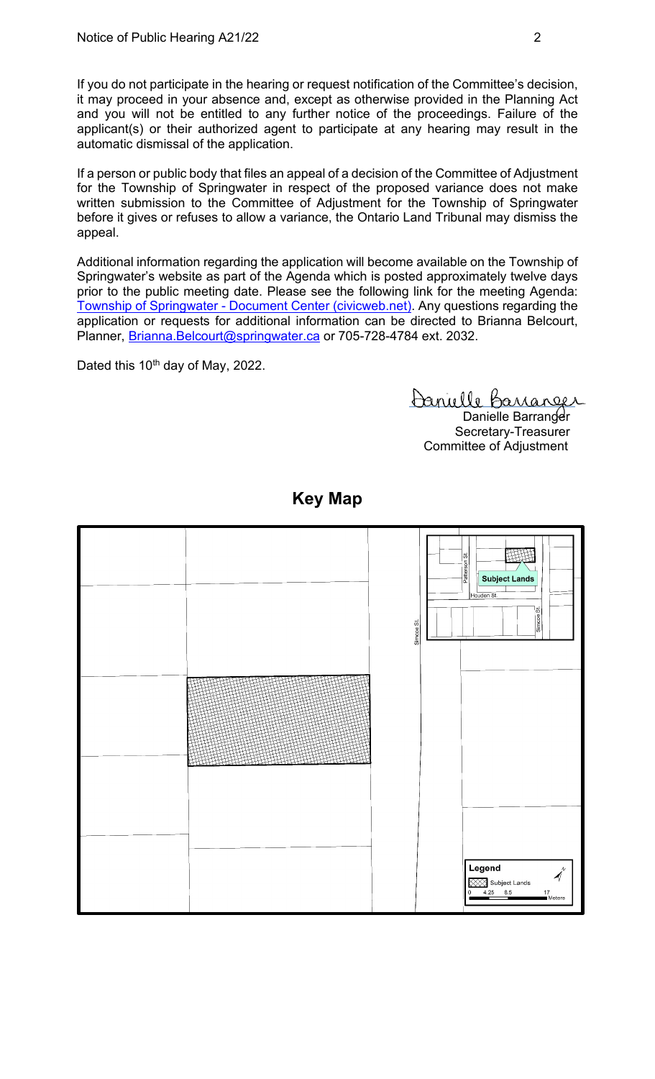If you do not participate in the hearing or request notification of the Committee's decision, it may proceed in your absence and, except as otherwise provided in the Planning Act and you will not be entitled to any further notice of the proceedings. Failure of the applicant(s) or their authorized agent to participate at any hearing may result in the automatic dismissal of the application.

If a person or public body that files an appeal of a decision of the Committee of Adjustment for the Township of Springwater in respect of the proposed variance does not make written submission to the Committee of Adjustment for the Township of Springwater before it gives or refuses to allow a variance, the Ontario Land Tribunal may dismiss the appeal.

Additional information regarding the application will become available on the Township of Springwater's website as part of the Agenda which is posted approximately twelve days prior to the public meeting date. Please see the following link for the meeting Agenda: Township of Springwater - [Document Center \(civicweb.net\).](https://springwater.civicweb.net/filepro/documents/164293) Any questions regarding the application or requests for additional information can be directed to Brianna Belcourt, Planner, [Brianna.Belcourt@springwater.ca](mailto:Brianna.Belcourt@springwater.ca) or 705-728-4784 ext. 2032.

Dated this 10<sup>th</sup> day of May, 2022.

Danielle Barranger

Danielle Barranger Secretary-Treasurer Committee of Adjustment



## **Key Map**